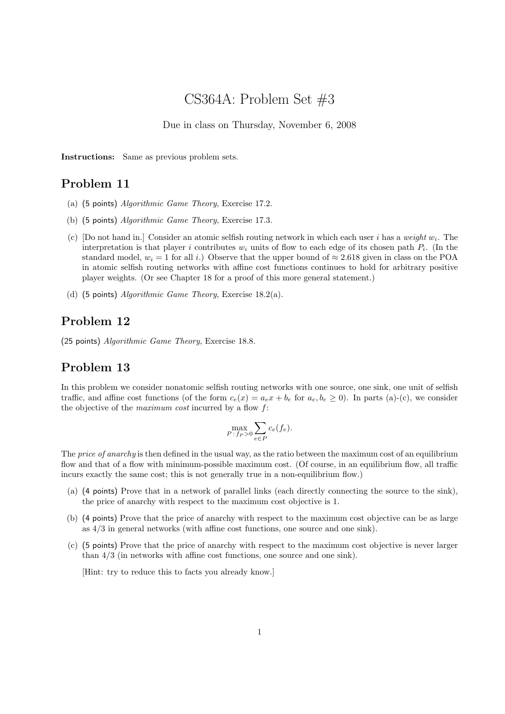# CS364A: Problem Set #3

Due in class on Thursday, November 6, 2008

Instructions: Same as previous problem sets.

## Problem 11

- (a) (5 points) Algorithmic Game Theory, Exercise 17.2.
- (b) (5 points) Algorithmic Game Theory, Exercise 17.3.
- (c) [Do not hand in.] Consider an atomic selfish routing network in which each user i has a weight  $w_i$ . The interpretation is that player i contributes  $w_i$  units of flow to each edge of its chosen path  $P_i$ . (In the standard model,  $w_i = 1$  for all i.) Observe that the upper bound of  $\approx 2.618$  given in class on the POA in atomic selfish routing networks with affine cost functions continues to hold for arbitrary positive player weights. (Or see Chapter 18 for a proof of this more general statement.)
- (d) (5 points) Algorithmic Game Theory, Exercise 18.2(a).

#### Problem 12

(25 points) Algorithmic Game Theory, Exercise 18.8.

#### Problem 13

In this problem we consider nonatomic selfish routing networks with one source, one sink, one unit of selfish traffic, and affine cost functions (of the form  $c_e(x) = a_e x + b_e$  for  $a_e, b_e \ge 0$ ). In parts (a)-(c), we consider the objective of the *maximum* cost incurred by a flow  $f$ :

$$
\max_{P:f_P>0} \sum_{e \in P} c_e(f_e).
$$

The price of anarchy is then defined in the usual way, as the ratio between the maximum cost of an equilibrium flow and that of a flow with minimum-possible maximum cost. (Of course, in an equilibrium flow, all traffic incurs exactly the same cost; this is not generally true in a non-equilibrium flow.)

- (a) (4 points) Prove that in a network of parallel links (each directly connecting the source to the sink), the price of anarchy with respect to the maximum cost objective is 1.
- (b) (4 points) Prove that the price of anarchy with respect to the maximum cost objective can be as large as 4/3 in general networks (with affine cost functions, one source and one sink).
- (c) (5 points) Prove that the price of anarchy with respect to the maximum cost objective is never larger than 4/3 (in networks with affine cost functions, one source and one sink).

[Hint: try to reduce this to facts you already know.]